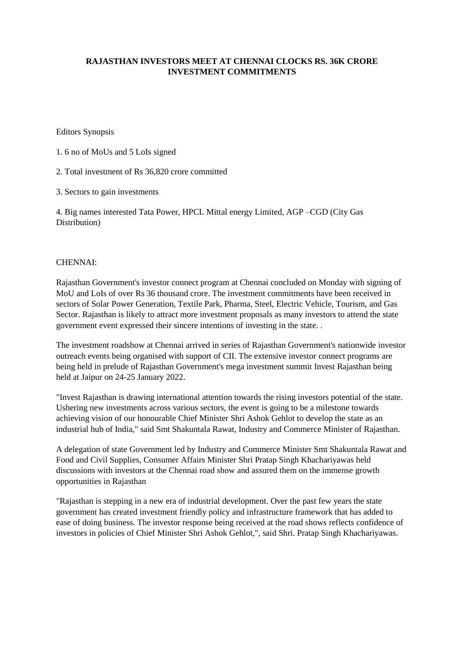## **RAJASTHAN INVESTORS MEET AT CHENNAI CLOCKS RS. 36K CRORE INVESTMENT COMMITMENTS**

Editors Synopsis

1. 6 no of MoUs and 5 LoIs signed

2. Total investment of Rs 36,820 crore committed

3. Sectors to gain investments

4. Big names interested Tata Power, HPCL Mittal energy Limited, AGP –CGD (City Gas Distribution)

## CHENNAI:

Rajasthan Government's investor connect program at Chennai concluded on Monday with signing of MoU and LoIs of over Rs 36 thousand crore. The investment commitments have been received in sectors of Solar Power Generation, Textile Park, Pharma, Steel, Electric Vehicle, Tourism, and Gas Sector. Rajasthan is likely to attract more investment proposals as many investors to attend the state government event expressed their sincere intentions of investing in the state. .

The investment roadshow at Chennai arrived in series of Rajasthan Government's nationwide investor outreach events being organised with support of CII. The extensive investor connect programs are being held in prelude of Rajasthan Government's mega investment summit Invest Rajasthan being held at Jaipur on 24-25 January 2022.

"Invest Rajasthan is drawing international attention towards the rising investors potential of the state. Ushering new investments across various sectors, the event is going to be a milestone towards achieving vision of our honourable Chief Minister Shri Ashok Gehlot to develop the state as an industrial hub of India," said Smt Shakuntala Rawat, Industry and Commerce Minister of Rajasthan.

A delegation of state Government led by Industry and Commerce Minister Smt Shakuntala Rawat and Food and Civil Supplies, Consumer Affairs Minister Shri Pratap Singh Khachariyawas held discussions with investors at the Chennai road show and assured them on the immense growth opportunities in Rajasthan

"Rajasthan is stepping in a new era of industrial development. Over the past few years the state government has created investment friendly policy and infrastructure framework that has added to ease of doing business. The investor response being received at the road shows reflects confidence of investors in policies of Chief Minister Shri Ashok Gehlot,", said Shri. Pratap Singh Khachariyawas.